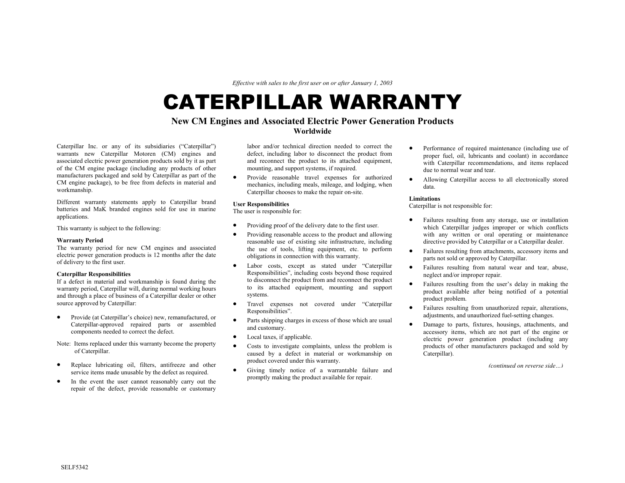*Effective with sales to the first user on or after January 1, 2003* 

# CATERPILLAR WARRANTY

## **New CM Engines and Associated Electric Power Generation Products Worldwide**

Caterpillar Inc. or any of its subsidiaries ("Caterpillar") warrants new Caterpillar Motoren (CM) engines and associated electric power generation products sold by it as part of the CM engine package (including any products of other manufacturers packaged and sold by Caterpillar as part of the CM engine package), to be free from defects in material and workmanship.

Different warranty statements apply to Caterpillar brand batteries and MaK branded engines sold for use in marine applications.

This warranty is subject to the following:

#### **Warranty Period**

The warranty period for new CM engines and associated electric power generation products is 12 months after the date of delivery to the first user.

### **Caterpillar Responsibilities**

If a defect in material and workmanship is found during the warranty period, Caterpillar will, during normal working hours and through a place of business of a Caterpillar dealer or other source approved by Caterpillar:

- Provide (at Caterpillar's choice) new, remanufactured, or Caterpillar-approved repaired parts or assembled components needed to correct the defect.
- Note: Items replaced under this warranty become the property of Caterpillar.
- Replace lubricating oil, filters, antifreeze and other service items made unusable by the defect as required.
- In the event the user cannot reasonably carry out the repair of the defect, provide reasonable or customary

labor and/or technical direction needed to correct thedefect, including labor to disconnect the product from and reconnect the product to its attached equipment, mounting, and support systems, if required.

• Provide reasonable travel expenses for authorized mechanics, including meals, mileage, and lodging, when Caterpillar chooses to make the repair on-site.

- Providing proof of the delivery date to the first user.
- Providing reasonable access to the product and allowing reasonable use of existing site infrastructure, including the use of tools, lifting equipment, etc. to perform obligations in connection with this warranty.
- Labor costs, except as stated under "Caterpillar Responsibilities", including costs beyond those required to disconnect the product from and reconnect the product to its attached equipment, mounting and support systems.
- Travel expenses not covered under "Caterpillar
- Parts shipping charges in excess of those which are usual
- Local taxes, if applicable.
- Costs to investigate complaints, unless the problem is caused by a defect in material or workmanship on product covered under this warranty. *(continued on reverse side ∴)* • Civing timely notice of a warrantable failure and
- promptly making the product available for repair.
- Performance of required maintenance (including use of proper fuel, oil, lubricants and coolant) in accordance with Caterpillar recommendations, and items replaced due to normal wear and tear.
- Allowing Caterpillar access to all electronically stored data.

#### **Limitations**

**User Responsibilities** Caterpillar is not responsible for: The user is responsible for:

- Failures resulting from any storage, use or installation which Caterpillar judges improper or which conflicts with any written or oral operating or maintenance directive provided by Caterpillar or a Caterpillar dealer.
- Failures resulting from attachments, accessory items and parts not sold or approved by Caterpillar.
- Failures resulting from natural wear and tear, abuse, neglect and/or improper repair.
- Failures resulting from the user's delay in making the product available after being notified of a potential product problem.
- Responsibilities". Failures resulting from unauthorized repair, alterations, adjustments, and unauthorized fuel-setting changes.
- Farts suppling charges in excess of mose which are usual **•** Damage to parts, fixtures, housings, attachments, and accessory items, which are not part of the engine or electric power generation product (including any products of other manufacturers packaged and sold by Caterpillar).